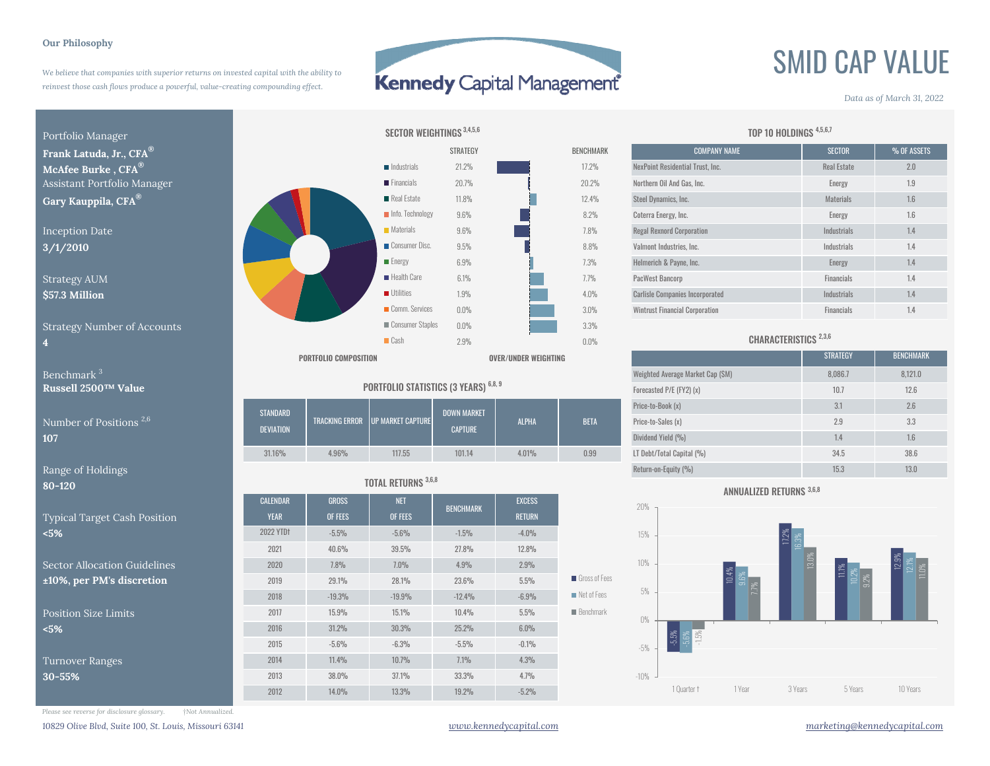#### **Our Philosophy**

*We believe that companies with superior returns on invested capital with the ability to reinvest those cash flows produce a powerful, value-creating compounding effect.*

## Kennedy Capital Management

8.2%

7.3%

3.0%

ees

# SMID CAP VALUE

#### *Data as of March 31, 2022*

Portfolio Manager

**4**

**80-120**

Typical Target Cash Position **<5%**

Sector Allocation Guidelines $\frac{110\%}{200}$ , per PM's discretion

Position Size Limits**<5%**

Turnover Ranges **30-55%**



| <code>umber</code> of Positions $^{2,6}$ $\,$ | <b>STANDARD</b><br><b>DEVIATION</b> |       | TRACKING ERROR UP MARKET CAPTURE | <b>DOWN MARKET</b><br><b>CAPTURE</b> | <b>ALPHA</b> | <b>BETA</b> | Price-to-Book (x)<br>Price-to-Sales (x)<br>Dividend Yield (%)                                                                                                                                                                     | $\mathsf{U}$ . I<br>$L_{\cdot}$            | 2.6<br>3.3<br>1.6    |
|-----------------------------------------------|-------------------------------------|-------|----------------------------------|--------------------------------------|--------------|-------------|-----------------------------------------------------------------------------------------------------------------------------------------------------------------------------------------------------------------------------------|--------------------------------------------|----------------------|
|                                               | 31.16%                              | 4.96% | 117.55                           | 101.14                               | 4.01%        | 0.99        | LT Debt/Total Capital (%)                                                                                                                                                                                                         | 34.5                                       | 38.6                 |
| $A = 1$ $A = 1$                               |                                     |       |                                  |                                      |              |             | $\mathbb{R}$ . The contract of the contract of the contract of the contract of the contract of the contract of the contract of the contract of the contract of the contract of the contract of the contract of the contract of th | <b>Contract Contract Contract Contract</b> | $\sim$ $\sim$ $\sim$ |

### TOTAL RETURNS 3,6,8

| 'IZU                       |                  |              |            |                  |               |                            |  |  |
|----------------------------|------------------|--------------|------------|------------------|---------------|----------------------------|--|--|
|                            | <b>CALENDAR</b>  | <b>GROSS</b> | <b>NET</b> | <b>BENCHMARK</b> | <b>EXCESS</b> |                            |  |  |
| pical Target Cash Position | <b>YEAR</b>      | OF FEES      | OF FEES    |                  | <b>RETURN</b> |                            |  |  |
| ℅                          | <b>2022 YTDt</b> | $-5.5%$      | $-5.6%$    | $-1.5%$          | $-4.0%$       |                            |  |  |
|                            | 2021             | 40.6%        | 39.5%      | 27.8%            | 12.8%         |                            |  |  |
| ctor Allocation Guidelines | 2020             | 7.8%         | 7.0%       | 4.9%             | 2.9%          |                            |  |  |
| 0%, per PM's discretion    | 2019             | 29.1%        | 28.1%      | 23.6%            | 5.5%          | $\blacksquare$ Gross of Fe |  |  |
|                            | 2018             | $-19.3%$     | $-19.9%$   | $-12.4%$         | $-6.9%$       | Net of Fees                |  |  |
| sition Size Limits         | 2017             | 15.9%        | 15.1%      | 10.4%            | 5.5%          | $\blacksquare$ Benchmark   |  |  |
| ℅                          | 2016             | 31.2%        | 30.3%      | 25.2%            | 6.0%          |                            |  |  |
|                            | 2015             | $-5.6%$      | $-6.3%$    | $-5.5%$          | $-0.1%$       |                            |  |  |
| rnover Ranges              | 2014             | 11.4%        | 10.7%      | 7.1%             | 4.3%          |                            |  |  |
| $-55%$                     | 2013             | 38.0%        | 37.1%      | 33.3%            | 4.7%          |                            |  |  |
|                            | 2012             | 14.0%        | 13.3%      | 19.2%            | $-5.2%$       |                            |  |  |
|                            |                  |              |            |                  |               |                            |  |  |

| <b>IMARK</b>   | <b>COMPANY NAME</b>                    | <b>SECTOR</b>      | % OF ASSETS |
|----------------|----------------------------------------|--------------------|-------------|
| 2%             | NexPoint Residential Trust. Inc.       | <b>Real Estate</b> | 2.0         |
| 2%             | Northern Oil And Gas, Inc.             | Energy             | 1.9         |
| 4%             | Steel Dynamics, Inc.                   | <b>Materials</b>   | 1.6         |
| $2\%$          | Coterra Energy, Inc.                   | Energy             | 1.6         |
| $\frac{10}{6}$ | <b>Regal Rexnord Corporation</b>       | Industrials        | 1.4         |
| 3%             | Valmont Industries, Inc.               | Industrials        | 1.4         |
| $\frac{1}{0}$  | Helmerich & Payne, Inc.                | Energy             | 1.4         |
| $\frac{1}{2}$  | PacWest Bancorp                        | <b>Financials</b>  | 1.4         |
| $\frac{9}{6}$  | <b>Carlisle Companies Incorporated</b> | Industrials        | 1.4         |
| $\frac{9}{6}$  | <b>Wintrust Financial Corporation</b>  | <b>Financials</b>  | 1.4         |

TOP 10 HOLDINGS 4,5,6,7

### CHARACTERISTICS<sup>2,3,6</sup>

|                                           |                                              | PORTFOLIO COMPOSITION |                                         |                                      | OVER/UNDER WEIGHTING             |             |                           | <b>STRATEGY</b> | <b>BENCHMARK</b> |
|-------------------------------------------|----------------------------------------------|-----------------------|-----------------------------------------|--------------------------------------|----------------------------------|-------------|---------------------------|-----------------|------------------|
| Benchmark <sup>3</sup>                    |                                              |                       |                                         |                                      | Weighted Average Market Cap (SM) | 8,086.7     | 8,121.0                   |                 |                  |
| Russell 2500™ Value                       | <b>PORTFOLIO STATISTICS (3 YEARS) 6,8, 9</b> |                       |                                         |                                      |                                  |             | Forecasted P/E (FY2) (x)  | 10.7            | 12.6             |
| Number of Positions <sup>2,6</sup><br>107 | <b>STANDARD</b><br><b>DEVIATION</b>          |                       | <b>TRACKING ERROR UP MARKET CAPTURE</b> | <b>DOWN MARKET</b><br><b>CAPTURE</b> | <b>ALPHA</b>                     | <b>BETA</b> | Price-to-Book (x)         | 3.1             | 2.6              |
|                                           |                                              |                       |                                         |                                      |                                  |             | Price-to-Sales (x)        | 2.9             | 3.3              |
|                                           |                                              |                       |                                         |                                      |                                  |             | Dividend Yield (%)        |                 | 1.6              |
|                                           | 31.16%                                       | 4.96%                 | 117.55                                  | 101.14                               | 4.01%                            | 0.99        | LT Debt/Total Capital (%) | 34.5            | 38.6             |
| Range of Holdings                         |                                              |                       |                                         |                                      |                                  |             | Return-on-Equity (%)      | 15.3            | 13.0             |

#### ANNUALIZED RETURNS 3,6,8



*Please see reverse for disclosure glossary. †Not Annualized.*

*10829 Olive Blvd, Suite 100, St. Louis, Missouri 63141 www.kennedycapital.com marketing@kennedycapital.com*